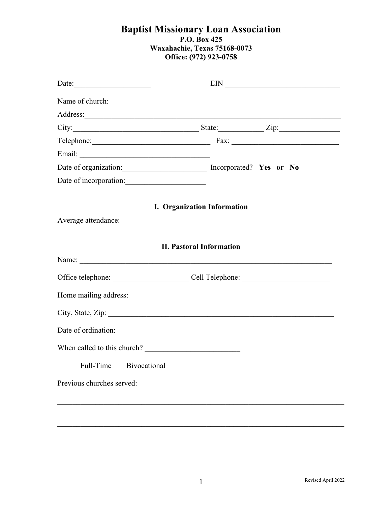# Baptist Missionary Loan Association P.O. Box 425 Waxahachie, Texas 75168-0073 Office: (972) 923-0758

| Date:                                         |                                                                                                                                                                                                                                     |
|-----------------------------------------------|-------------------------------------------------------------------------------------------------------------------------------------------------------------------------------------------------------------------------------------|
|                                               | Name of church: <u>and a series of church</u> and a series of church in the series of church in the series of the series of the series of the series of the series of the series of the series of the series of the series of the s |
| Address:                                      |                                                                                                                                                                                                                                     |
|                                               | City: $\qquad \qquad \text{State:} \qquad \qquad \text{Zip:}$                                                                                                                                                                       |
|                                               | Telephone: Fax: Fax:                                                                                                                                                                                                                |
| Email:                                        |                                                                                                                                                                                                                                     |
| Date of organization: Incorporated? Yes or No |                                                                                                                                                                                                                                     |
| Date of incorporation:                        |                                                                                                                                                                                                                                     |
|                                               | I. Organization Information                                                                                                                                                                                                         |
| Average attendance:                           |                                                                                                                                                                                                                                     |
|                                               |                                                                                                                                                                                                                                     |
|                                               | <b>II. Pastoral Information</b>                                                                                                                                                                                                     |
|                                               |                                                                                                                                                                                                                                     |
|                                               |                                                                                                                                                                                                                                     |
|                                               |                                                                                                                                                                                                                                     |
| City, State, Zip:                             |                                                                                                                                                                                                                                     |
|                                               |                                                                                                                                                                                                                                     |
| When called to this church?                   |                                                                                                                                                                                                                                     |
| Full-Time<br>Bivocational                     |                                                                                                                                                                                                                                     |
| Previous churches served:                     |                                                                                                                                                                                                                                     |
|                                               |                                                                                                                                                                                                                                     |
|                                               |                                                                                                                                                                                                                                     |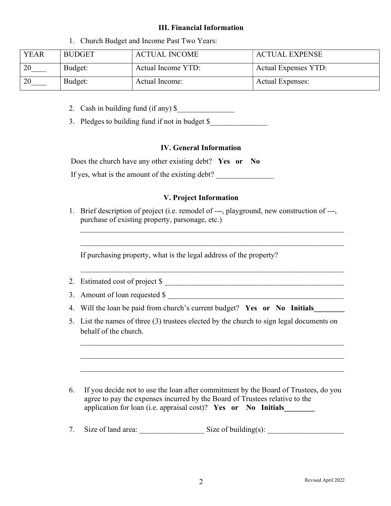### III. Financial Information

- YEAR BUDGET | ACTUAL INCOME | ACTUAL EXPENSE 20 Budget: | Actual Income YTD: | Actual Expenses YTD: 20 Budget: | Actual Income: | Actual Expenses:
- 1. Church Budget and Income Past Two Years:

- 2. Cash in building fund (if any)  $\$
- 3. Pledges to building fund if not in budget \$

#### IV. General Information

| Does the church have any other existing debt? Yes or No |  |  |
|---------------------------------------------------------|--|--|
| If yes, what is the amount of the existing debt?        |  |  |

#### V. Project Information

1. Brief description of project (i.e. remodel of ---, playground, new construction of ---, purchase of existing property, parsonage, etc.)

If purchasing property, what is the legal address of the property?

- 2. Estimated cost of project \$
- 3. Amount of loan requested  $\$$
- 4. Will the loan be paid from church's current budget? Yes or No Initials
- 5. List the names of three (3) trustees elected by the church to sign legal documents on behalf of the church.

 $\mathcal{L}_\mathcal{L} = \mathcal{L}_\mathcal{L} = \mathcal{L}_\mathcal{L} = \mathcal{L}_\mathcal{L} = \mathcal{L}_\mathcal{L} = \mathcal{L}_\mathcal{L} = \mathcal{L}_\mathcal{L} = \mathcal{L}_\mathcal{L} = \mathcal{L}_\mathcal{L} = \mathcal{L}_\mathcal{L} = \mathcal{L}_\mathcal{L} = \mathcal{L}_\mathcal{L} = \mathcal{L}_\mathcal{L} = \mathcal{L}_\mathcal{L} = \mathcal{L}_\mathcal{L} = \mathcal{L}_\mathcal{L} = \mathcal{L}_\mathcal{L}$ 

- 6. If you decide not to use the loan after commitment by the Board of Trustees, do you agree to pay the expenses incurred by the Board of Trustees relative to the application for loan (i.e. appraisal cost)? Yes or No Initials\_\_\_\_\_\_\_\_\_\_\_\_
- 7. Size of land area: Size of building(s):